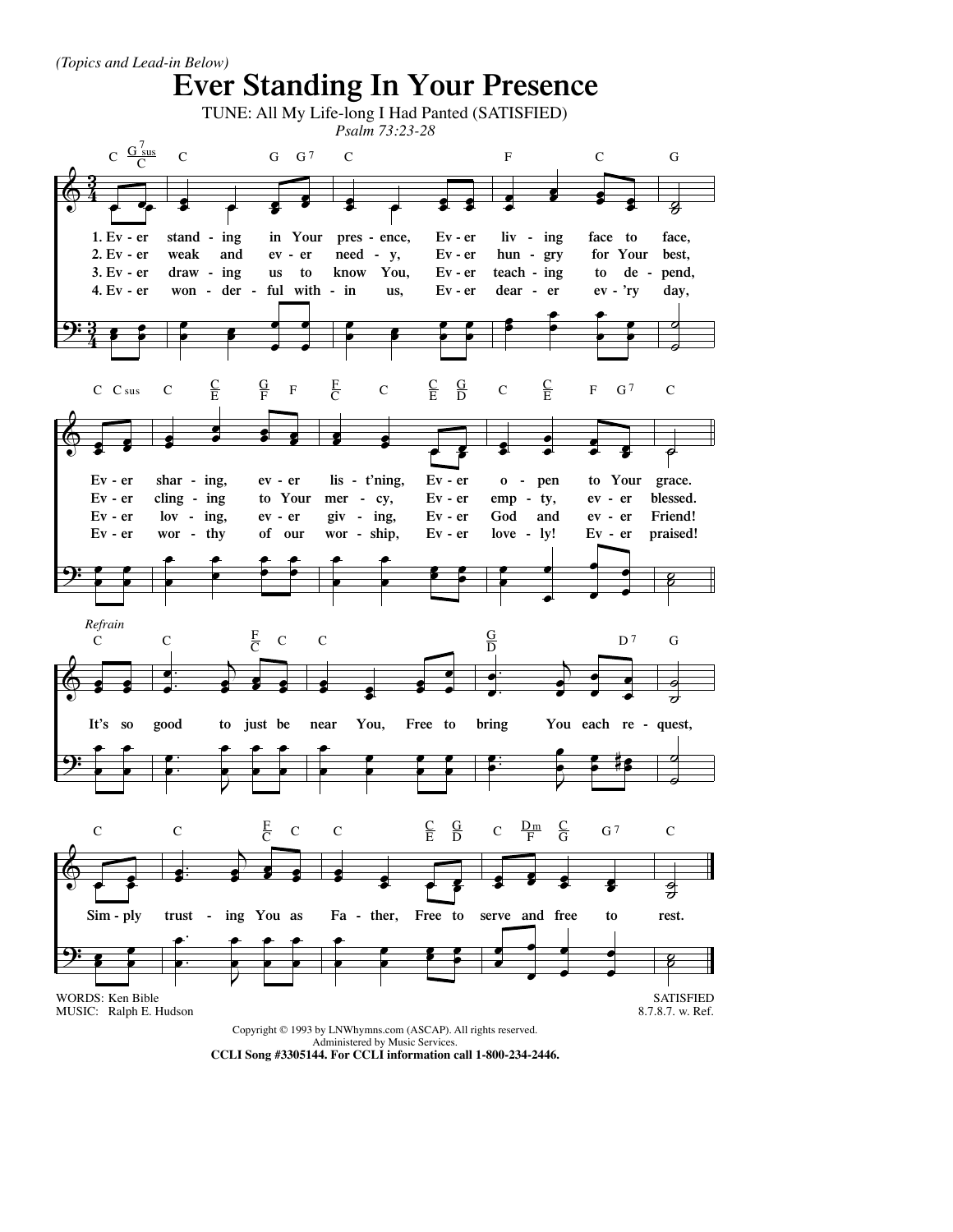

**CCLI Song #3305144. For CCLI information call 1-800-234-2446.**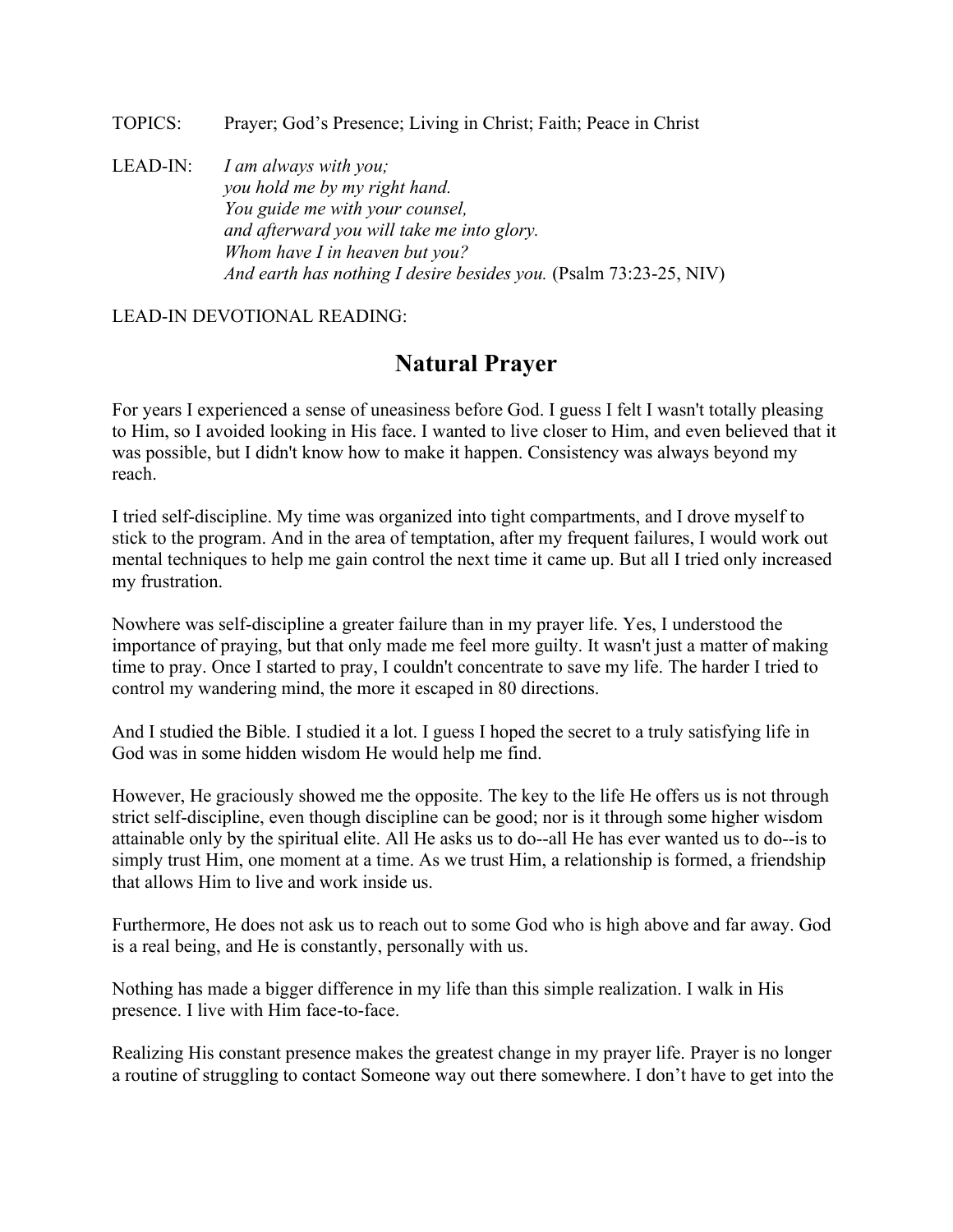TOPICS: Prayer; God's Presence; Living in Christ; Faith; Peace in Christ

LEAD-IN: *I am always with you; you hold me by my right hand. You guide me with your counsel, and afterward you will take me into glory. Whom have I in heaven but you? And earth has nothing I desire besides you.* (Psalm 73:23-25, NIV)

LEAD-IN DEVOTIONAL READING:

## **Natural Prayer**

For years I experienced a sense of uneasiness before God. I guess I felt I wasn't totally pleasing to Him, so I avoided looking in His face. I wanted to live closer to Him, and even believed that it was possible, but I didn't know how to make it happen. Consistency was always beyond my reach.

I tried self-discipline. My time was organized into tight compartments, and I drove myself to stick to the program. And in the area of temptation, after my frequent failures, I would work out mental techniques to help me gain control the next time it came up. But all I tried only increased my frustration.

Nowhere was self-discipline a greater failure than in my prayer life. Yes, I understood the importance of praying, but that only made me feel more guilty. It wasn't just a matter of making time to pray. Once I started to pray, I couldn't concentrate to save my life. The harder I tried to control my wandering mind, the more it escaped in 80 directions.

And I studied the Bible. I studied it a lot. I guess I hoped the secret to a truly satisfying life in God was in some hidden wisdom He would help me find.

However, He graciously showed me the opposite. The key to the life He offers us is not through strict self-discipline, even though discipline can be good; nor is it through some higher wisdom attainable only by the spiritual elite. All He asks us to do--all He has ever wanted us to do--is to simply trust Him, one moment at a time. As we trust Him, a relationship is formed, a friendship that allows Him to live and work inside us.

Furthermore, He does not ask us to reach out to some God who is high above and far away. God is a real being, and He is constantly, personally with us.

Nothing has made a bigger difference in my life than this simple realization. I walk in His presence. I live with Him face-to-face.

Realizing His constant presence makes the greatest change in my prayer life. Prayer is no longer a routine of struggling to contact Someone way out there somewhere. I don't have to get into the